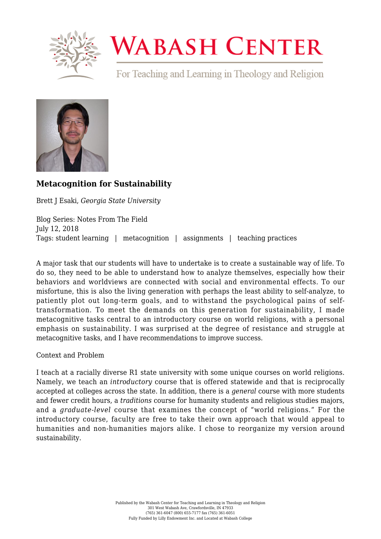

## **WABASH CENTER**

For Teaching and Learning in Theology and Religion



## **[Metacognition for Sustainability](https://www.wabashcenter.wabash.edu/2018/07/metacognition-for-sustainability/)**

Brett J Esaki, *Georgia State University*

Blog Series: Notes From The Field July 12, 2018 Tags: student learning | metacognition | assignments | teaching practices

A major task that our students will have to undertake is to create a sustainable way of life. To do so, they need to be able to understand how to analyze themselves, especially how their behaviors and worldviews are connected with social and environmental effects. To our misfortune, this is also the living generation with perhaps the least ability to self-analyze, to patiently plot out long-term goals, and to withstand the psychological pains of selftransformation. To meet the demands on this generation for sustainability, I made metacognitive tasks central to an introductory course on world religions, with a personal emphasis on sustainability. I was surprised at the degree of resistance and struggle at metacognitive tasks, and I have recommendations to improve success.

Context and Problem

I teach at a racially diverse R1 state university with some unique courses on world religions. Namely, we teach an *introductory* course that is offered statewide and that is reciprocally accepted at colleges across the state. In addition, there is a *general* course with more students and fewer credit hours, a *traditions* course for humanity students and religious studies majors, and a *graduate-level* course that examines the concept of "world religions." For the introductory course, faculty are free to take their own approach that would appeal to humanities and non-humanities majors alike. I chose to reorganize my version around sustainability.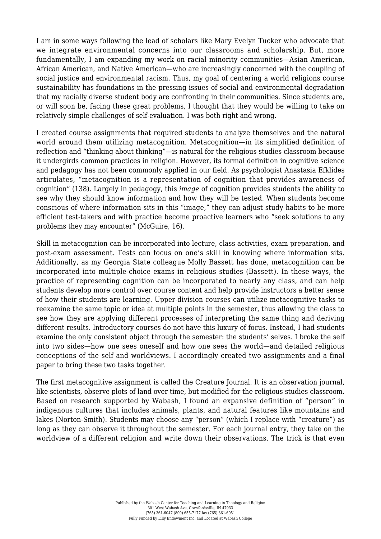I am in some ways following the lead of scholars like Mary Evelyn Tucker who advocate that we integrate environmental concerns into our classrooms and scholarship. But, more fundamentally, I am expanding my work on racial minority communities—Asian American, African American, and Native American—who are increasingly concerned with the coupling of social justice and environmental racism. Thus, my goal of centering a world religions course sustainability has foundations in the pressing issues of social and environmental degradation that my racially diverse student body are confronting in their communities. Since students are, or will soon be, facing these great problems, I thought that they would be willing to take on relatively simple challenges of self-evaluation. I was both right and wrong.

I created course assignments that required students to analyze themselves and the natural world around them utilizing metacognition. Metacognition—in its simplified definition of reflection and "thinking about thinking"—is natural for the religious studies classroom because it undergirds common practices in religion. However, its formal definition in cognitive science and pedagogy has not been commonly applied in our field. As psychologist Anastasia Efklides articulates, "metacognition is a representation of cognition that provides awareness of cognition" (138). Largely in pedagogy, this *image* of cognition provides students the ability to see why they should know information and how they will be tested. When students become conscious of where information sits in this "image," they can adjust study habits to be more efficient test-takers and with practice become proactive learners who "seek solutions to any problems they may encounter" (McGuire, 16).

Skill in metacognition can be incorporated into lecture, class activities, exam preparation, and post-exam assessment. Tests can focus on one's skill in knowing where information sits. Additionally, as my Georgia State colleague Molly Bassett has done, metacognition can be incorporated into multiple-choice exams in religious studies (Bassett). In these ways, the practice of representing cognition can be incorporated to nearly any class, and can help students develop more control over course content and help provide instructors a better sense of how their students are learning. Upper-division courses can utilize metacognitive tasks to reexamine the same topic or idea at multiple points in the semester, thus allowing the class to see how they are applying different processes of interpreting the same thing and deriving different results. Introductory courses do not have this luxury of focus. Instead, I had students examine the only consistent object through the semester: the students' selves. I broke the self into two sides—how one sees oneself and how one sees the world—and detailed religious conceptions of the self and worldviews. I accordingly created two assignments and a final paper to bring these two tasks together.

The first metacognitive assignment is called the Creature Journal. It is an observation journal, like scientists, observe plots of land over time, but modified for the religious studies classroom. Based on research supported by Wabash, I found an expansive definition of "person" in indigenous cultures that includes animals, plants, and natural features like mountains and lakes (Norton-Smith). Students may choose any "person" (which I replace with "creature") as long as they can observe it throughout the semester. For each journal entry, they take on the worldview of a different religion and write down their observations. The trick is that even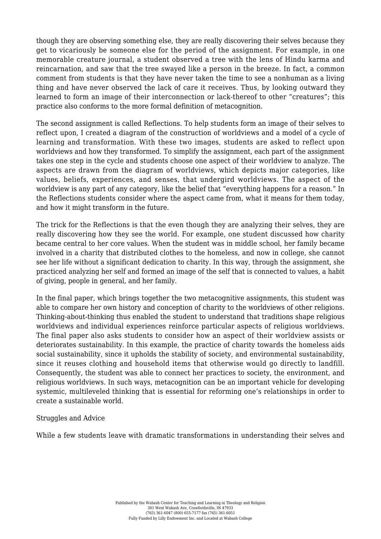though they are observing something else, they are really discovering their selves because they get to vicariously be someone else for the period of the assignment. For example, in one memorable creature journal, a student observed a tree with the lens of Hindu karma and reincarnation, and saw that the tree swayed like a person in the breeze. In fact, a common comment from students is that they have never taken the time to see a nonhuman as a living thing and have never observed the lack of care it receives. Thus, by looking outward they learned to form an image of their interconnection or lack-thereof to other "creatures"; this practice also conforms to the more formal definition of metacognition.

The second assignment is called Reflections. To help students form an image of their selves to reflect upon, I created a diagram of the construction of worldviews and a model of a cycle of learning and transformation. With these two images, students are asked to reflect upon worldviews and how they transformed. To simplify the assignment, each part of the assignment takes one step in the cycle and students choose one aspect of their worldview to analyze. The aspects are drawn from the diagram of worldviews, which depicts major categories, like values, beliefs, experiences, and senses, that undergird worldviews. The aspect of the worldview is any part of any category, like the belief that "everything happens for a reason." In the Reflections students consider where the aspect came from, what it means for them today, and how it might transform in the future.

The trick for the Reflections is that the even though they are analyzing their selves, they are really discovering how they see the world. For example, one student discussed how charity became central to her core values. When the student was in middle school, her family became involved in a charity that distributed clothes to the homeless, and now in college, she cannot see her life without a significant dedication to charity. In this way, through the assignment, she practiced analyzing her self and formed an image of the self that is connected to values, a habit of giving, people in general, and her family.

In the final paper, which brings together the two metacognitive assignments, this student was able to compare her own history and conception of charity to the worldviews of other religions. Thinking-about-thinking thus enabled the student to understand that traditions shape religious worldviews and individual experiences reinforce particular aspects of religious worldviews. The final paper also asks students to consider how an aspect of their worldview assists or deteriorates sustainability. In this example, the practice of charity towards the homeless aids social sustainability, since it upholds the stability of society, and environmental sustainability, since it reuses clothing and household items that otherwise would go directly to landfill. Consequently, the student was able to connect her practices to society, the environment, and religious worldviews. In such ways, metacognition can be an important vehicle for developing systemic, multileveled thinking that is essential for reforming one's relationships in order to create a sustainable world.

## Struggles and Advice

While a few students leave with dramatic transformations in understanding their selves and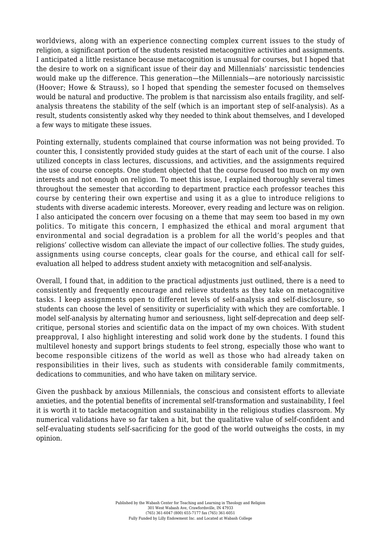worldviews, along with an experience connecting complex current issues to the study of religion, a significant portion of the students resisted metacognitive activities and assignments. I anticipated a little resistance because metacognition is unusual for courses, but I hoped that the desire to work on a significant issue of their day and Millennials' narcissistic tendencies would make up the difference. This generation—the Millennials—are notoriously narcissistic (Hoover; Howe & Strauss), so I hoped that spending the semester focused on themselves would be natural and productive. The problem is that narcissism also entails fragility, and selfanalysis threatens the stability of the self (which is an important step of self-analysis). As a result, students consistently asked why they needed to think about themselves, and I developed a few ways to mitigate these issues.

Pointing externally, students complained that course information was not being provided. To counter this, I consistently provided study guides at the start of each unit of the course. I also utilized concepts in class lectures, discussions, and activities, and the assignments required the use of course concepts. One student objected that the course focused too much on my own interests and not enough on religion. To meet this issue, I explained thoroughly several times throughout the semester that according to department practice each professor teaches this course by centering their own expertise and using it as a glue to introduce religions to students with diverse academic interests. Moreover, every reading and lecture was on religion. I also anticipated the concern over focusing on a theme that may seem too based in my own politics. To mitigate this concern, I emphasized the ethical and moral argument that environmental and social degradation is a problem for all the world's peoples and that religions' collective wisdom can alleviate the impact of our collective follies. The study guides, assignments using course concepts, clear goals for the course, and ethical call for selfevaluation all helped to address student anxiety with metacognition and self-analysis.

Overall, I found that, in addition to the practical adjustments just outlined, there is a need to consistently and frequently encourage and relieve students as they take on metacognitive tasks. I keep assignments open to different levels of self-analysis and self-disclosure, so students can choose the level of sensitivity or superficiality with which they are comfortable. I model self-analysis by alternating humor and seriousness, light self-deprecation and deep selfcritique, personal stories and scientific data on the impact of my own choices. With student preapproval, I also highlight interesting and solid work done by the students. I found this multilevel honesty and support brings students to feel strong, especially those who want to become responsible citizens of the world as well as those who had already taken on responsibilities in their lives, such as students with considerable family commitments, dedications to communities, and who have taken on military service.

Given the pushback by anxious Millennials, the conscious and consistent efforts to alleviate anxieties, and the potential benefits of incremental self-transformation and sustainability, I feel it is worth it to tackle metacognition and sustainability in the religious studies classroom. My numerical validations have so far taken a hit, but the qualitative value of self-confident and self-evaluating students self-sacrificing for the good of the world outweighs the costs, in my opinion.